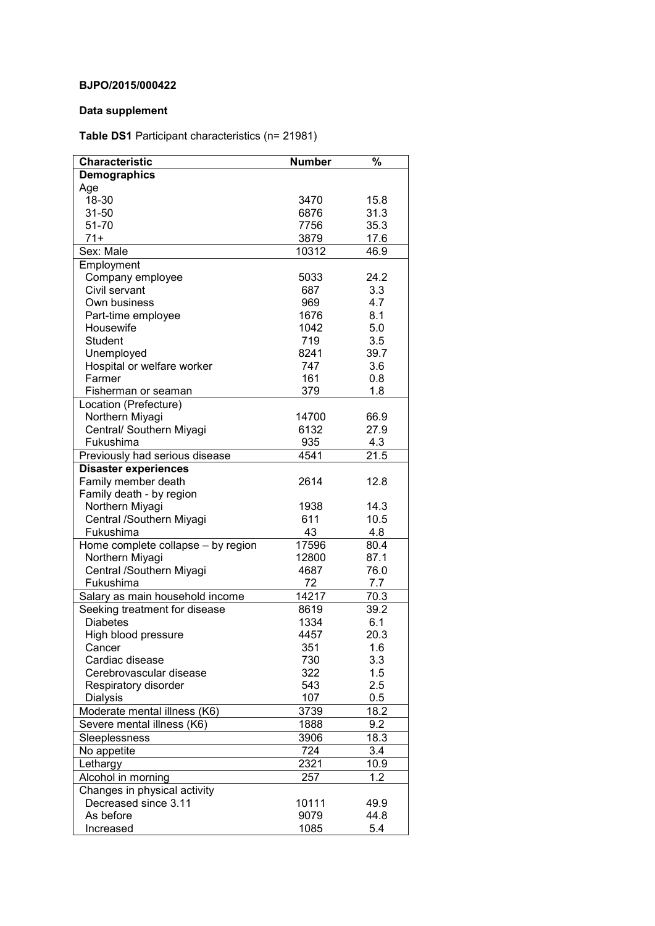## **BJPO/2015/000422**

## **Data supplement**

**Table DS1** Participant characteristics (n= 21981)

| Characteristic                     | <b>Number</b> | %    |
|------------------------------------|---------------|------|
| <b>Demographics</b>                |               |      |
| Age                                |               |      |
| 18-30                              | 3470          | 15.8 |
| 31-50                              | 6876          | 31.3 |
| 51-70                              | 7756          | 35.3 |
| $71+$                              | 3879          | 17.6 |
| Sex: Male                          | 10312         | 46.9 |
| Employment                         |               |      |
| Company employee                   | 5033          | 24.2 |
| Civil servant                      | 687           | 3.3  |
| Own business                       | 969           | 4.7  |
| Part-time employee                 | 1676          | 8.1  |
| Housewife                          | 1042          | 5.0  |
| <b>Student</b>                     | 719           | 3.5  |
| Unemployed                         | 8241          | 39.7 |
| Hospital or welfare worker         | 747           | 3.6  |
| Farmer                             | 161           | 0.8  |
| Fisherman or seaman                | 379           | 1.8  |
| Location (Prefecture)              |               |      |
| Northern Miyagi                    | 14700         | 66.9 |
| Central/ Southern Miyagi           | 6132          | 27.9 |
| Fukushima                          | 935           | 4.3  |
| Previously had serious disease     | 4541          | 21.5 |
| <b>Disaster experiences</b>        |               |      |
| Family member death                | 2614          | 12.8 |
| Family death - by region           |               |      |
| Northern Miyagi                    | 1938          | 14.3 |
| Central /Southern Miyagi           | 611           | 10.5 |
| Fukushima                          | 43            | 4.8  |
| Home complete collapse - by region | 17596         | 80.4 |
| Northern Miyagi                    | 12800         | 87.1 |
| Central /Southern Miyagi           | 4687          | 76.0 |
| Fukushima                          | 72            | 7.7  |
| Salary as main household income    | 14217         | 70.3 |
| Seeking treatment for disease      | 8619          | 39.2 |
| <b>Diabetes</b>                    | 1334          | 6.1  |
| High blood pressure                | 4457          | 20.3 |
| Cancer                             | 351           | 1.6  |
| Cardiac disease                    | 730           | 3.3  |
| Cerebrovascular disease            | 322           | 1.5  |
| Respiratory disorder               | 543           | 2.5  |
| Dialysis                           | 107           | 0.5  |
| Moderate mental illness (K6)       | 3739          | 18.2 |
| Severe mental illness (K6)         | 1888          | 9.2  |
| Sleeplessness                      | 3906          | 18.3 |
| No appetite                        | 724           | 3.4  |
| Lethargy                           | 2321          | 10.9 |
| Alcohol in morning                 | 257           | 1.2  |
| Changes in physical activity       |               |      |
| Decreased since 3.11               | 10111         | 49.9 |
| As before                          | 9079          | 44.8 |
| Increased                          | 1085          | 5.4  |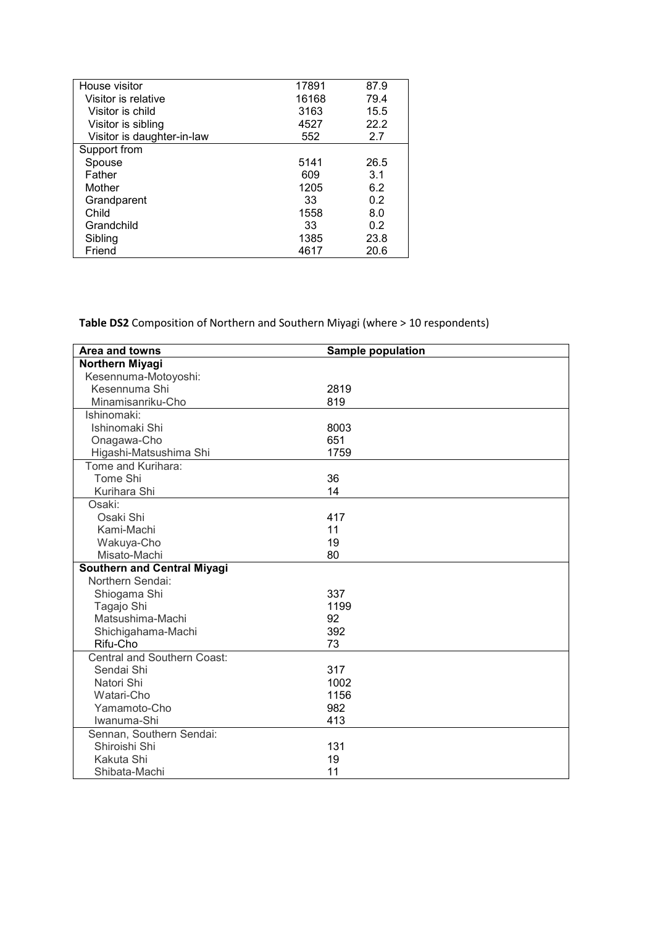| House visitor              | 17891 | 87.9 |
|----------------------------|-------|------|
| Visitor is relative        | 16168 | 79.4 |
| Visitor is child           | 3163  | 15.5 |
| Visitor is sibling         | 4527  | 22.2 |
| Visitor is daughter-in-law | 552   | 2.7  |
| Support from               |       |      |
| Spouse                     | 5141  | 26.5 |
| Father                     | 609   | 3.1  |
| Mother                     | 1205  | 6.2  |
| Grandparent                | 33    | 0.2  |
| Child                      | 1558  | 8.0  |
| Grandchild                 | 33    | 0.2  |
| Sibling                    | 1385  | 23.8 |
| Friend                     | 4617  | 20.6 |

**Table DS2** Composition of Northern and Southern Miyagi (where > 10 respondents)

| Area and towns                     | <b>Sample population</b> |
|------------------------------------|--------------------------|
| Northern Miyagi                    |                          |
| Kesennuma-Motoyoshi:               |                          |
| Kesennuma Shi                      | 2819                     |
| Minamisanriku-Cho                  | 819                      |
| Ishinomaki:                        |                          |
| Ishinomaki Shi                     | 8003                     |
| Onagawa-Cho                        | 651                      |
| Higashi-Matsushima Shi             | 1759                     |
| Tome and Kurihara:                 |                          |
| Tome Shi                           | 36                       |
| Kurihara Shi                       | 14                       |
| Osaki:                             |                          |
| Osaki Shi                          | 417                      |
| Kami-Machi                         | 11                       |
| Wakuya-Cho                         | 19                       |
| Misato-Machi                       | 80                       |
| <b>Southern and Central Miyagi</b> |                          |
| Northern Sendai:                   |                          |
| Shiogama Shi                       | 337                      |
| Tagajo Shi                         | 1199                     |
| Matsushima-Machi                   | 92                       |
| Shichigahama-Machi                 | 392                      |
| Rifu-Cho                           | 73                       |
| <b>Central and Southern Coast:</b> |                          |
| Sendai Shi                         | 317                      |
| Natori Shi                         | 1002                     |
| Watari-Cho                         | 1156                     |
| Yamamoto-Cho                       | 982                      |
| Iwanuma-Shi                        | 413                      |
| Sennan, Southern Sendai:           |                          |
| Shiroishi Shi                      | 131                      |
| Kakuta Shi                         | 19                       |
| Shibata-Machi                      | 11                       |